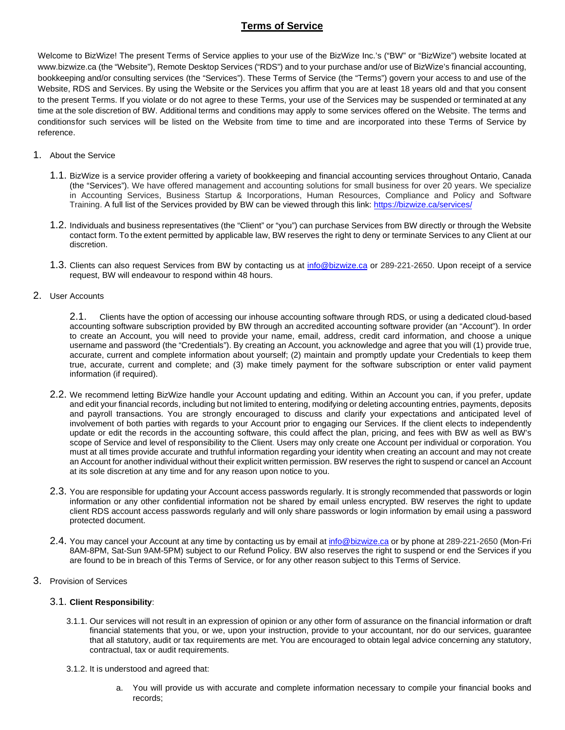# **Terms of Service**

Welcome to BizWize! The present Terms of Service applies to your use of the BizWize Inc.'s ("BW" or "BizWize") website located at www.bizwize.ca (the "Website"), Remote Desktop Services ("RDS") and to your purchase and/or use of BizWize's financial accounting, bookkeeping and/or consulting services (the "Services"). These Terms of Service (the "Terms") govern your access to and use of the Website, RDS and Services. By using the Website or the Services you affirm that you are at least 18 years old and that you consent to the present Terms. If you violate or do not agree to these Terms, your use of the Services may be suspended or terminated at any time at the sole discretion of BW. Additional terms and conditions may apply to some services offered on the Website. The terms and conditionsfor such services will be listed on the Website from time to time and are incorporated into these Terms of Service by reference.

#### 1. About the Service

- 1.1. BizWize is a service provider offering a variety of bookkeeping and financial accounting services throughout Ontario, Canada (the "Services"). We have offered management and accounting solutions for small business for over 20 years. We specialize in Accounting Services, Business Startup & Incorporations, Human Resources, Compliance and Policy and Software Training. A full list of the Services provided by BW can be viewed through this link:<https://bizwize.ca/services/>
- 1.2. Individuals and business representatives (the "Client" or "you") can purchase Services from BW directly or through the Website contact form. To the extent permitted by applicable law, BW reserves the right to deny or terminate Services to any Client at our discretion.
- 1.3. Clients can also request Services from BW by contacting us at [info@bizwize.ca](mailto:info@bizwize.cam) or 289-221-2650. Upon receipt of a service request, BW will endeavour to respond within 48 hours.
- 2. User Accounts

2.1. Clients have the option of accessing our inhouse accounting software through RDS, or using a dedicated cloud-based accounting software subscription provided by BW through an accredited accounting software provider (an "Account"). In order to create an Account, you will need to provide your name, email, address, credit card information, and choose a unique username and password (the "Credentials"). By creating an Account, you acknowledge and agree that you will (1) provide true, accurate, current and complete information about yourself; (2) maintain and promptly update your Credentials to keep them true, accurate, current and complete; and (3) make timely payment for the software subscription or enter valid payment information (if required).

- 2.2. We recommend letting BizWize handle your Account updating and editing. Within an Account you can, if you prefer, update and edit your financial records, including but not limited to entering, modifying or deleting accounting entries, payments, deposits and payroll transactions. You are strongly encouraged to discuss and clarify your expectations and anticipated level of involvement of both parties with regards to your Account prior to engaging our Services. If the client elects to independently update or edit the records in the accounting software, this could affect the plan, pricing, and fees with BW as well as BW's scope of Service and level of responsibility to the Client. Users may only create one Account per individual or corporation. You must at all times provide accurate and truthful information regarding your identity when creating an account and may not create an Account for another individual without their explicit written permission. BW reserves the right to suspend or cancel an Account at its sole discretion at any time and for any reason upon notice to you.
- 2.3. You are responsible for updating your Account access passwords regularly. It is strongly recommended that passwords or login information or any other confidential information not be shared by email unless encrypted. BW reserves the right to update client RDS account access passwords regularly and will only share passwords or login information by email using a password protected document.
- 2.4. You may cancel your Account at any time by contacting us by email a[t info@bizwize.ca](mailto:info@bizwize.ca) or by phone at 289-221-2650 (Mon-Fri 8AM-8PM, Sat-Sun 9AM-5PM) subject to our Refund Policy. BW also reserves the right to suspend or end the Services if you are found to be in breach of this Terms of Service, or for any other reason subject to this Terms of Service.
- 3. Provision of Services

#### 3.1. **Client Responsibility**:

- 3.1.1. Our services will not result in an expression of opinion or any other form of assurance on the financial information or draft financial statements that you, or we, upon your instruction, provide to your accountant, nor do our services, guarantee that all statutory, audit or tax requirements are met. You are encouraged to obtain legal advice concerning any statutory, contractual, tax or audit requirements.
- 3.1.2. It is understood and agreed that:
	- a. You will provide us with accurate and complete information necessary to compile your financial books and records;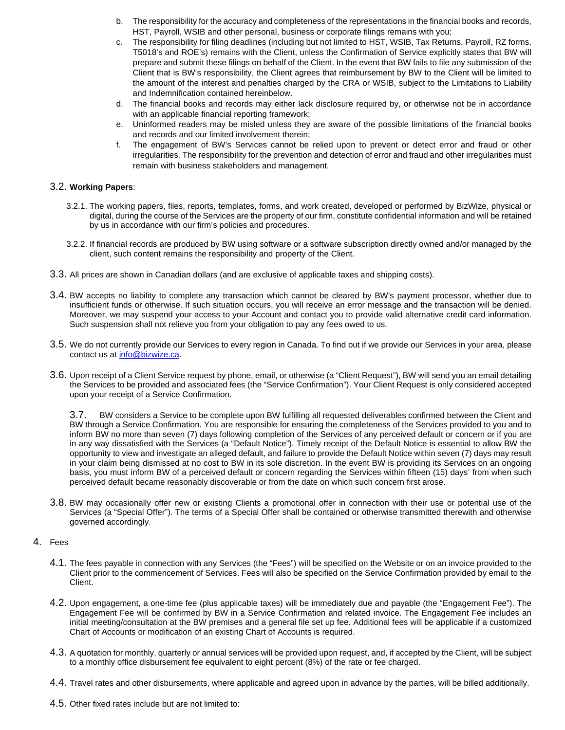- b. The responsibility for the accuracy and completeness of the representations in the financial books and records, HST, Payroll, WSIB and other personal, business or corporate filings remains with you;
- c. The responsibility for filing deadlines (including but not limited to HST, WSIB, Tax Returns, Payroll, RZ forms, T5018's and ROE's) remains with the Client, unless the Confirmation of Service explicitly states that BW will prepare and submit these filings on behalf of the Client. In the event that BW fails to file any submission of the Client that is BW's responsibility, the Client agrees that reimbursement by BW to the Client will be limited to the amount of the interest and penalties charged by the CRA or WSIB, subject to the Limitations to Liability and Indemnification contained hereinbelow.
- d. The financial books and records may either lack disclosure required by, or otherwise not be in accordance with an applicable financial reporting framework;
- e. Uninformed readers may be misled unless they are aware of the possible limitations of the financial books and records and our limited involvement therein;
- f. The engagement of BW's Services cannot be relied upon to prevent or detect error and fraud or other irregularities. The responsibility for the prevention and detection of error and fraud and other irregularities must remain with business stakeholders and management.

#### 3.2. **Working Papers**:

- 3.2.1. The working papers, files, reports, templates, forms, and work created, developed or performed by BizWize, physical or digital, during the course of the Services are the property of our firm, constitute confidential information and will be retained by us in accordance with our firm's policies and procedures.
- 3.2.2. If financial records are produced by BW using software or a software subscription directly owned and/or managed by the client, such content remains the responsibility and property of the Client.
- 3.3. All prices are shown in Canadian dollars (and are exclusive of applicable taxes and shipping costs).
- 3.4. BW accepts no liability to complete any transaction which cannot be cleared by BW's payment processor, whether due to insufficient funds or otherwise. If such situation occurs, you will receive an error message and the transaction will be denied. Moreover, we may suspend your access to your Account and contact you to provide valid alternative credit card information. Such suspension shall not relieve you from your obligation to pay any fees owed to us.
- 3.5. We do not currently provide our Services to every region in Canada. To find out if we provide our Services in your area, please contact us at [info@bizwize.ca.](mailto:info@bizwize.ca)
- 3.6. Upon receipt of a Client Service request by phone, email, or otherwise (a "Client Request"), BW will send you an email detailing the Services to be provided and associated fees (the "Service Confirmation"). Your Client Request is only considered accepted upon your receipt of a Service Confirmation.

3.7. BW considers a Service to be complete upon BW fulfilling all requested deliverables confirmed between the Client and BW through a Service Confirmation. You are responsible for ensuring the completeness of the Services provided to you and to inform BW no more than seven (7) days following completion of the Services of any perceived default or concern or if you are in any way dissatisfied with the Services (a "Default Notice"). Timely receipt of the Default Notice is essential to allow BW the opportunity to view and investigate an alleged default, and failure to provide the Default Notice within seven (7) days may result in your claim being dismissed at no cost to BW in its sole discretion. In the event BW is providing its Services on an ongoing basis, you must inform BW of a perceived default or concern regarding the Services within fifteen (15) days' from when such perceived default became reasonably discoverable or from the date on which such concern first arose.

3.8. BW may occasionally offer new or existing Clients a promotional offer in connection with their use or potential use of the Services (a "Special Offer"). The terms of a Special Offer shall be contained or otherwise transmitted therewith and otherwise governed accordingly.

## 4. Fees

- 4.1. The fees payable in connection with any Services (the "Fees") will be specified on the Website or on an invoice provided to the Client prior to the commencement of Services. Fees will also be specified on the Service Confirmation provided by email to the Client.
- 4.2. Upon engagement, a one-time fee (plus applicable taxes) will be immediately due and payable (the "Engagement Fee"). The Engagement Fee will be confirmed by BW in a Service Confirmation and related invoice. The Engagement Fee includes an initial meeting/consultation at the BW premises and a general file set up fee. Additional fees will be applicable if a customized Chart of Accounts or modification of an existing Chart of Accounts is required.
- 4.3. A quotation for monthly, quarterly or annual services will be provided upon request, and, if accepted by the Client, will be subject to a monthly office disbursement fee equivalent to eight percent (8%) of the rate or fee charged.
- 4.4. Travel rates and other disbursements, where applicable and agreed upon in advance by the parties, will be billed additionally.
- 4.5. Other fixed rates include but are not limited to: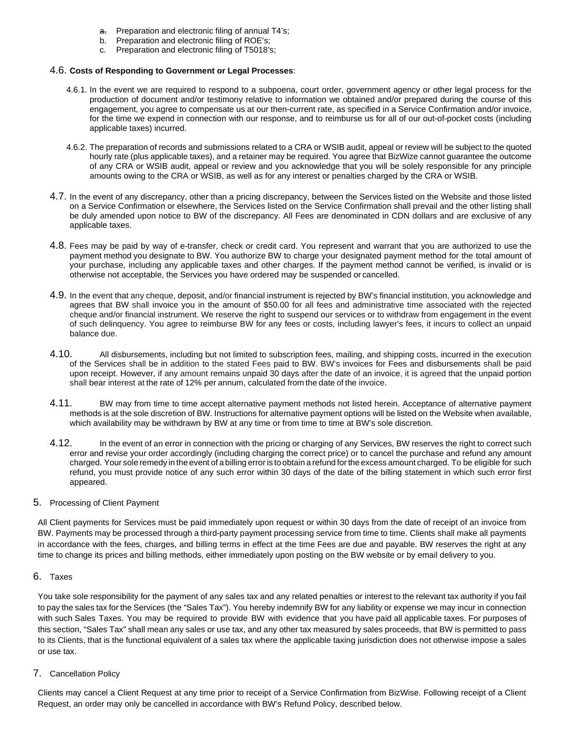- a. Preparation and electronic filing of annual T4's;
- b. Preparation and electronic filing of ROE's;
- c. Preparation and electronic filing of T5018's;

#### 4.6. **Costs of Responding to Government or Legal Processes**:

- 4.6.1. In the event we are required to respond to a subpoena, court order, government agency or other legal process for the production of document and/or testimony relative to information we obtained and/or prepared during the course of this engagement, you agree to compensate us at our then-current rate, as specified in a Service Confirmation and/or invoice, for the time we expend in connection with our response, and to reimburse us for all of our out-of-pocket costs (including applicable taxes) incurred.
- 4.6.2. The preparation of records and submissions related to a CRA or WSIB audit, appeal or review will be subject to the quoted hourly rate (plus applicable taxes), and a retainer may be required. You agree that BizWize cannot guarantee the outcome of any CRA or WSIB audit, appeal or review and you acknowledge that you will be solely responsible for any principle amounts owing to the CRA or WSIB, as well as for any interest or penalties charged by the CRA or WSIB.
- 4.7. In the event of any discrepancy, other than a pricing discrepancy, between the Services listed on the Website and those listed on a Service Confirmation or elsewhere, the Services listed on the Service Confirmation shall prevail and the other listing shall be duly amended upon notice to BW of the discrepancy. All Fees are denominated in CDN dollars and are exclusive of any applicable taxes.
- 4.8. Fees may be paid by way of e-transfer, check or credit card. You represent and warrant that you are authorized to use the payment method you designate to BW. You authorize BW to charge your designated payment method for the total amount of your purchase, including any applicable taxes and other charges. If the payment method cannot be verified, is invalid or is otherwise not acceptable, the Services you have ordered may be suspended or cancelled.
- 4.9. In the event that any cheque, deposit, and/or financial instrument is rejected by BW's financial institution, you acknowledge and agrees that BW shall invoice you in the amount of \$50.00 for all fees and administrative time associated with the rejected cheque and/or financial instrument. We reserve the right to suspend our services or to withdraw from engagement in the event of such delinquency. You agree to reimburse BW for any fees or costs, including lawyer's fees, it incurs to collect an unpaid balance due.
- 4.10. All disbursements, including but not limited to subscription fees, mailing, and shipping costs, incurred in the execution of the Services shall be in addition to the stated Fees paid to BW. BW's invoices for Fees and disbursements shall be paid upon receipt. However, if any amount remains unpaid 30 days after the date of an invoice, it is agreed that the unpaid portion shall bear interest at the rate of 12% per annum, calculated from the date of the invoice.
- 4.11. BW may from time to time accept alternative payment methods not listed herein. Acceptance of alternative payment methods is at the sole discretion of BW. Instructions for alternative payment options will be listed on the Website when available, which availability may be withdrawn by BW at any time or from time to time at BW's sole discretion.
- 4.12. In the event of an error in connection with the pricing or charging of any Services, BW reserves the right to correct such error and revise your order accordingly (including charging the correct price) or to cancel the purchase and refund any amount charged. Your sole remedy in the event of a billing error is toobtain a refund forthe excess amount charged. To be eligible for such refund, you must provide notice of any such error within 30 days of the date of the billing statement in which such error first appeared.
- 5. Processing of Client Payment

All Client payments for Services must be paid immediately upon request or within 30 days from the date of receipt of an invoice from BW. Payments may be processed through a third-party payment processing service from time to time. Clients shall make all payments in accordance with the fees, charges, and billing terms in effect at the time Fees are due and payable. BW reserves the right at any time to change its prices and billing methods, either immediately upon posting on the BW website or by email delivery to you.

#### 6. Taxes

You take sole responsibility for the payment of any sales tax and any related penalties or interest to the relevant tax authority if you fail to pay the sales tax for the Services (the "Sales Tax"). You hereby indemnify BW for any liability or expense we may incur in connection with such Sales Taxes. You may be required to provide BW with evidence that you have paid all applicable taxes. For purposes of this section, "Sales Tax" shall mean any sales or use tax, and any other tax measured by sales proceeds, that BW is permitted to pass to its Clients, that is the functional equivalent of a sales tax where the applicable taxing jurisdiction does not otherwise impose a sales or use tax.

#### 7. Cancellation Policy

Clients may cancel a Client Request at any time prior to receipt of a Service Confirmation from BizWise. Following receipt of a Client Request, an order may only be cancelled in accordance with BW's Refund Policy, described below.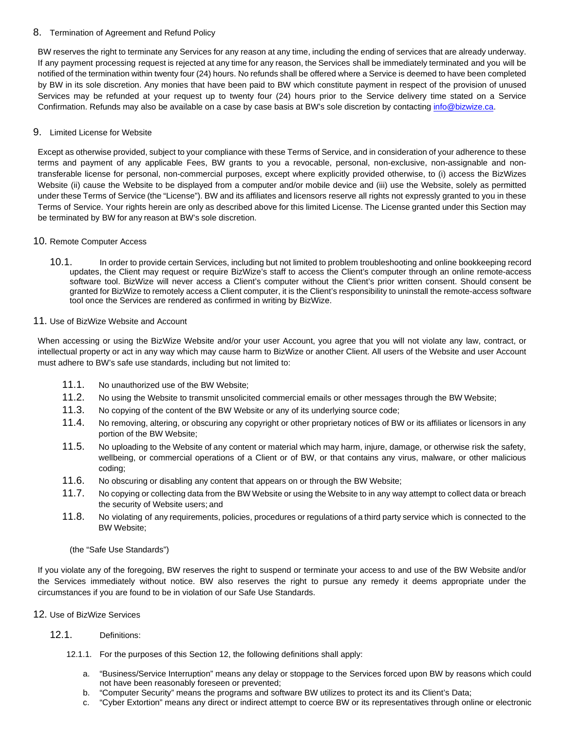## 8. Termination of Agreement and Refund Policy

BW reserves the right to terminate any Services for any reason at any time, including the ending of services that are already underway. If any payment processing request is rejected at any time for any reason, the Services shall be immediately terminated and you will be notified of the termination within twenty four (24) hours. No refunds shall be offered where a Service is deemed to have been completed by BW in its sole discretion. Any monies that have been paid to BW which constitute payment in respect of the provision of unused Services may be refunded at your request up to twenty four (24) hours prior to the Service delivery time stated on a Service Confirmation. Refunds may also be available on a case by case basis at BW's sole discretion by contactin[g info@bizwize.ca.](mailto:info@bizwize.ca)

## 9. Limited License for Website

Except as otherwise provided, subject to your compliance with these Terms of Service, and in consideration of your adherence to these terms and payment of any applicable Fees, BW grants to you a revocable, personal, non-exclusive, non-assignable and nontransferable license for personal, non-commercial purposes, except where explicitly provided otherwise, to (i) access the BizWizes Website (ii) cause the Website to be displayed from a computer and/or mobile device and (iii) use the Website, solely as permitted under these Terms of Service (the "License"). BW and its affiliates and licensors reserve all rights not expressly granted to you in these Terms of Service. Your rights herein are only as described above for this limited License. The License granted under this Section may be terminated by BW for any reason at BW's sole discretion.

## 10. Remote Computer Access

10.1. In order to provide certain Services, including but not limited to problem troubleshooting and online bookkeeping record updates, the Client may request or require BizWize's staff to access the Client's computer through an online remote-access software tool. BizWize will never access a Client's computer without the Client's prior written consent. Should consent be granted for BizWize to remotely access a Client computer, it is the Client's responsibility to uninstall the remote-access software tool once the Services are rendered as confirmed in writing by BizWize.

## 11. Use of BizWize Website and Account

When accessing or using the BizWize Website and/or your user Account, you agree that you will not violate any law, contract, or intellectual property or act in any way which may cause harm to BizWize or another Client. All users of the Website and user Account must adhere to BW's safe use standards, including but not limited to:

- 11.1. No unauthorized use of the BW Website;
- 11.2. No using the Website to transmit unsolicited commercial emails or other messages through the BW Website;
- 11.3. No copying of the content of the BW Website or any of its underlying source code;
- 11.4. No removing, altering, or obscuring any copyright or other proprietary notices of BW or its affiliates or licensors in any portion of the BW Website;
- 11.5. No uploading to the Website of any content or material which may harm, injure, damage, or otherwise risk the safety, wellbeing, or commercial operations of a Client or of BW, or that contains any virus, malware, or other malicious coding;
- 11.6. No obscuring or disabling any content that appears on or through the BW Website;
- 11.7. No copying or collecting data from the BW Website or using the Website to in any way attempt to collect data or breach the security of Website users; and
- 11.8. No violating of any requirements, policies, procedures or regulations of a third party service which is connected to the BW Website;

(the "Safe Use Standards")

If you violate any of the foregoing, BW reserves the right to suspend or terminate your access to and use of the BW Website and/or the Services immediately without notice. BW also reserves the right to pursue any remedy it deems appropriate under the circumstances if you are found to be in violation of our Safe Use Standards.

## 12. Use of BizWize Services

## 12.1. Definitions:

- 12.1.1. For the purposes of this Section 12, the following definitions shall apply:
	- a. "Business/Service Interruption" means any delay or stoppage to the Services forced upon BW by reasons which could not have been reasonably foreseen or prevented;
	- b. "Computer Security" means the programs and software BW utilizes to protect its and its Client's Data;
	- c. "Cyber Extortion" means any direct or indirect attempt to coerce BW or its representatives through online or electronic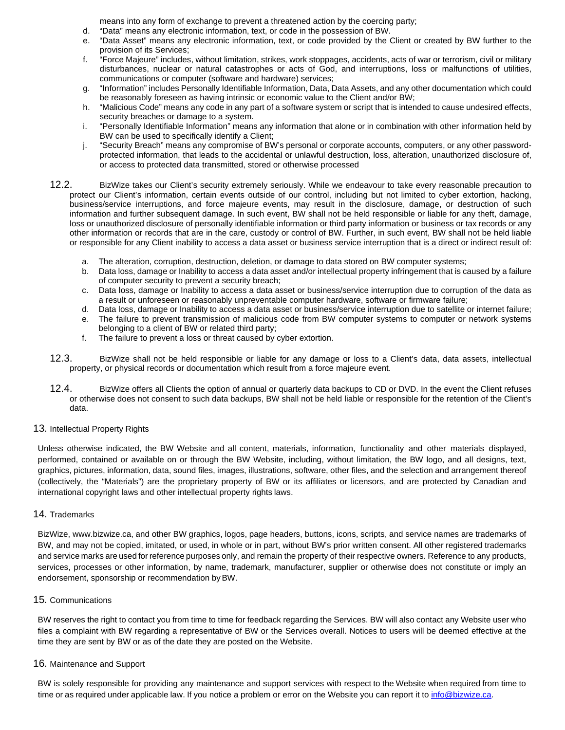means into any form of exchange to prevent a threatened action by the coercing party;

- d. "Data" means any electronic information, text, or code in the possession of BW.
- e. "Data Asset" means any electronic information, text, or code provided by the Client or created by BW further to the provision of its Services;
- f. "Force Majeure" includes, without limitation, strikes, work stoppages, accidents, acts of war or terrorism, civil or military disturbances, nuclear or natural catastrophes or acts of God, and interruptions, loss or malfunctions of utilities, communications or computer (software and hardware) services;
- g. "Information" includes Personally Identifiable Information, Data, Data Assets, and any other documentation which could be reasonably foreseen as having intrinsic or economic value to the Client and/or BW;
- h. "Malicious Code" means any code in any part of a software system or script that is intended to cause undesired effects, security breaches or damage to a system.
- i. "Personally Identifiable Information" means any information that alone or in combination with other information held by BW can be used to specifically identify a Client;
- j. "Security Breach" means any compromise of BW's personal or corporate accounts, computers, or any other passwordprotected information, that leads to the accidental or unlawful destruction, loss, alteration, unauthorized disclosure of, or access to protected data transmitted, stored or otherwise processed
- 12.2. BizWize takes our Client's security extremely seriously. While we endeavour to take every reasonable precaution to protect our Client's information, certain events outside of our control, including but not limited to cyber extortion, hacking, business/service interruptions, and force majeure events, may result in the disclosure, damage, or destruction of such information and further subsequent damage. In such event, BW shall not be held responsible or liable for any theft, damage, loss or unauthorized disclosure of personally identifiable information or third party information or business or tax records or any other information or records that are in the care, custody or control of BW. Further, in such event, BW shall not be held liable or responsible for any Client inability to access a data asset or business service interruption that is a direct or indirect result of:
	- a. The alteration, corruption, destruction, deletion, or damage to data stored on BW computer systems;
	- b. Data loss, damage or Inability to access a data asset and/or intellectual property infringement that is caused by a failure of computer security to prevent a security breach;
	- c. Data loss, damage or Inability to access a data asset or business/service interruption due to corruption of the data as a result or unforeseen or reasonably unpreventable computer hardware, software or firmware failure;
	- d. Data loss, damage or Inability to access a data asset or business/service interruption due to satellite or internet failure;
	- e. The failure to prevent transmission of malicious code from BW computer systems to computer or network systems belonging to a client of BW or related third party;
	- f. The failure to prevent a loss or threat caused by cyber extortion.
- 12.3. BizWize shall not be held responsible or liable for any damage or loss to a Client's data, data assets, intellectual property, or physical records or documentation which result from a force majeure event.
- 12.4. BizWize offers all Clients the option of annual or quarterly data backups to CD or DVD. In the event the Client refuses or otherwise does not consent to such data backups, BW shall not be held liable or responsible for the retention of the Client's data.

## 13. Intellectual Property Rights

Unless otherwise indicated, the BW Website and all content, materials, information, functionality and other materials displayed, performed, contained or available on or through the BW Website, including, without limitation, the BW logo, and all designs, text, graphics, pictures, information, data, sound files, images, illustrations, software, other files, and the selection and arrangement thereof (collectively, the "Materials") are the proprietary property of BW or its affiliates or licensors, and are protected by Canadian and international copyright laws and other intellectual property rights laws.

## 14. Trademarks

BizWize, www.bizwize.ca, and other BW graphics, logos, page headers, buttons, icons, scripts, and service names are trademarks of BW, and may not be copied, imitated, or used, in whole or in part, without BW's prior written consent. All other registered trademarks and service marks are used for reference purposes only, and remain the property of their respective owners. Reference to any products, services, processes or other information, by name, trademark, manufacturer, supplier or otherwise does not constitute or imply an endorsement, sponsorship or recommendation byBW.

## 15. Communications

BW reserves the right to contact you from time to time for feedback regarding the Services. BW will also contact any Website user who files a complaint with BW regarding a representative of BW or the Services overall. Notices to users will be deemed effective at the time they are sent by BW or as of the date they are posted on the Website.

## 16. Maintenance and Support

BW is solely responsible for providing any maintenance and support services with respect to the Website when required from time to time or as required under applicable law. If you notice a problem or error on the Website you can report it to [info@bizwize.ca.](mailto:info@bizwize.ca)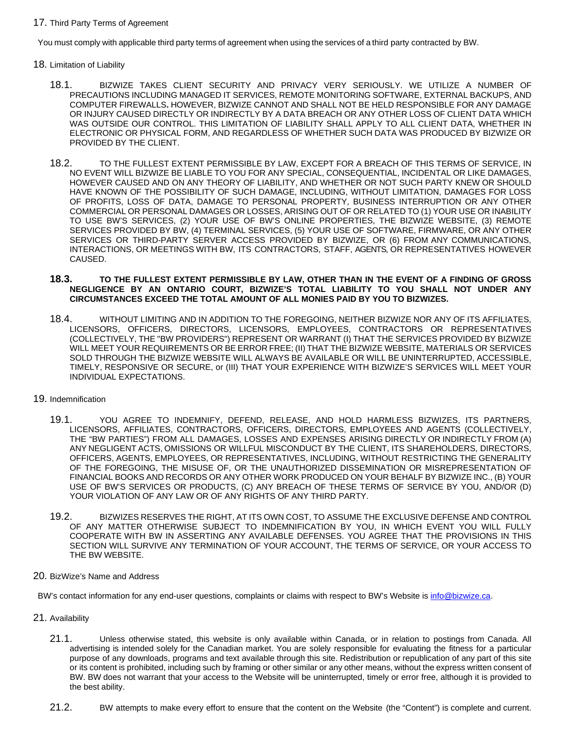#### 17. Third Party Terms of Agreement

You must comply with applicable third party terms of agreement when using the services of a third party contracted by BW.

- 18. Limitation of Liability
	- 18.1. BIZWIZE TAKES CLIENT SECURITY AND PRIVACY VERY SERIOUSLY. WE UTILIZE A NUMBER OF PRECAUTIONS INCLUDING MANAGED IT SERVICES, REMOTE MONITORING SOFTWARE, EXTERNAL BACKUPS, AND COMPUTER FIREWALLS**.** HOWEVER, BIZWIZE CANNOT AND SHALL NOT BE HELD RESPONSIBLE FOR ANY DAMAGE OR INJURY CAUSED DIRECTLY OR INDIRECTLY BY A DATA BREACH OR ANY OTHER LOSS OF CLIENT DATA WHICH WAS OUTSIDE OUR CONTROL. THIS LIMITATION OF LIABILITY SHALL APPLY TO ALL CLIENT DATA, WHETHER IN ELECTRONIC OR PHYSICAL FORM, AND REGARDLESS OF WHETHER SUCH DATA WAS PRODUCED BY BIZWIZE OR PROVIDED BY THE CLIENT.
	- 18.2. TO THE FULLEST EXTENT PERMISSIBLE BY LAW, EXCEPT FOR A BREACH OF THIS TERMS OF SERVICE, IN NO EVENT WILL BIZWIZE BE LIABLE TO YOU FOR ANY SPECIAL, CONSEQUENTIAL, INCIDENTAL OR LIKE DAMAGES, HOWEVER CAUSED AND ON ANY THEORY OF LIABILITY, AND WHETHER OR NOT SUCH PARTY KNEW OR SHOULD HAVE KNOWN OF THE POSSIBILITY OF SUCH DAMAGE, INCLUDING, WITHOUT LIMITATION, DAMAGES FOR LOSS OF PROFITS, LOSS OF DATA, DAMAGE TO PERSONAL PROPERTY, BUSINESS INTERRUPTION OR ANY OTHER COMMERCIAL OR PERSONAL DAMAGES OR LOSSES, ARISING OUT OF OR RELATED TO (1) YOUR USE OR INABILITY TO USE BW'S SERVICES, (2) YOUR USE OF BW'S ONLINE PROPERTIES, THE BIZWIZE WEBSITE, (3) REMOTE SERVICES PROVIDED BY BW, (4) TERMINAL SERVICES, (5) YOUR USE OF SOFTWARE, FIRMWARE, OR ANY OTHER SERVICES OR THIRD-PARTY SERVER ACCESS PROVIDED BY BIZWIZE, OR (6) FROM ANY COMMUNICATIONS, INTERACTIONS, OR MEETINGS WITH BW, ITS CONTRACTORS, STAFF, AGENTS, OR REPRESENTATIVES HOWEVER CAUSED.

#### **18.3. TO THE FULLEST EXTENT PERMISSIBLE BY LAW, OTHER THAN IN THE EVENT OF A FINDING OF GROSS NEGLIGENCE BY AN ONTARIO COURT, BIZWIZE'S TOTAL LIABILITY TO YOU SHALL NOT UNDER ANY CIRCUMSTANCES EXCEED THE TOTAL AMOUNT OF ALL MONIES PAID BY YOU TO BIZWIZES.**

18.4. WITHOUT LIMITING AND IN ADDITION TO THE FOREGOING, NEITHER BIZWIZE NOR ANY OF ITS AFFILIATES, LICENSORS, OFFICERS, DIRECTORS, LICENSORS, EMPLOYEES, CONTRACTORS OR REPRESENTATIVES (COLLECTIVELY, THE "BW PROVIDERS") REPRESENT OR WARRANT (I) THAT THE SERVICES PROVIDED BY BIZWIZE WILL MEET YOUR REQUIREMENTS OR BE ERROR FREE; (II) THAT THE BIZWIZE WEBSITE, MATERIALS OR SERVICES SOLD THROUGH THE BIZWIZE WEBSITE WILL ALWAYS BE AVAILABLE OR WILL BE UNINTERRUPTED, ACCESSIBLE, TIMELY, RESPONSIVE OR SECURE, or (III) THAT YOUR EXPERIENCE WITH BIZWIZE'S SERVICES WILL MEET YOUR INDIVIDUAL EXPECTATIONS.

#### 19. Indemnification

- 19.1. YOU AGREE TO INDEMNIFY, DEFEND, RELEASE, AND HOLD HARMLESS BIZWIZES, ITS PARTNERS, LICENSORS, AFFILIATES, CONTRACTORS, OFFICERS, DIRECTORS, EMPLOYEES AND AGENTS (COLLECTIVELY, THE "BW PARTIES") FROM ALL DAMAGES, LOSSES AND EXPENSES ARISING DIRECTLY OR INDIRECTLY FROM (A) ANY NEGLIGENT ACTS, OMISSIONS OR WILLFUL MISCONDUCT BY THE CLIENT, ITS SHAREHOLDERS, DIRECTORS, OFFICERS, AGENTS, EMPLOYEES, OR REPRESENTATIVES, INCLUDING, WITHOUT RESTRICTING THE GENERALITY OF THE FOREGOING, THE MISUSE OF, OR THE UNAUTHORIZED DISSEMINATION OR MISREPRESENTATION OF FINANCIAL BOOKS AND RECORDS OR ANY OTHER WORK PRODUCED ON YOUR BEHALF BY BIZWIZE INC., (B) YOUR USE OF BW'S SERVICES OR PRODUCTS, (C) ANY BREACH OF THESE TERMS OF SERVICE BY YOU, AND/OR (D) YOUR VIOLATION OF ANY LAW OR OF ANY RIGHTS OF ANY THIRD PARTY.
- 19.2. BIZWIZES RESERVES THE RIGHT, AT ITS OWN COST, TO ASSUME THE EXCLUSIVE DEFENSE AND CONTROL OF ANY MATTER OTHERWISE SUBJECT TO INDEMNIFICATION BY YOU, IN WHICH EVENT YOU WILL FULLY COOPERATE WITH BW IN ASSERTING ANY AVAILABLE DEFENSES. YOU AGREE THAT THE PROVISIONS IN THIS SECTION WILL SURVIVE ANY TERMINATION OF YOUR ACCOUNT, THE TERMS OF SERVICE, OR YOUR ACCESS TO THE BW WEBSITE.
- 20. BizWize's Name and Address

BW's contact information for any end-user questions, complaints or claims with respect to BW's Website i[s info@bizwize.ca.](mailto:info@bizwize.ca)

- 21. Availability
	- 21.1. Unless otherwise stated, this website is only available within Canada, or in relation to postings from Canada. All advertising is intended solely for the Canadian market. You are solely responsible for evaluating the fitness for a particular purpose of any downloads, programs and text available through this site. Redistribution or republication of any part of this site or its content is prohibited, including such by framing or other similar or any other means, without the express written consent of BW. BW does not warrant that your access to the Website will be uninterrupted, timely or error free, although it is provided to the best ability.
	- 21.2. BW attempts to make every effort to ensure that the content on the Website (the "Content") is complete and current.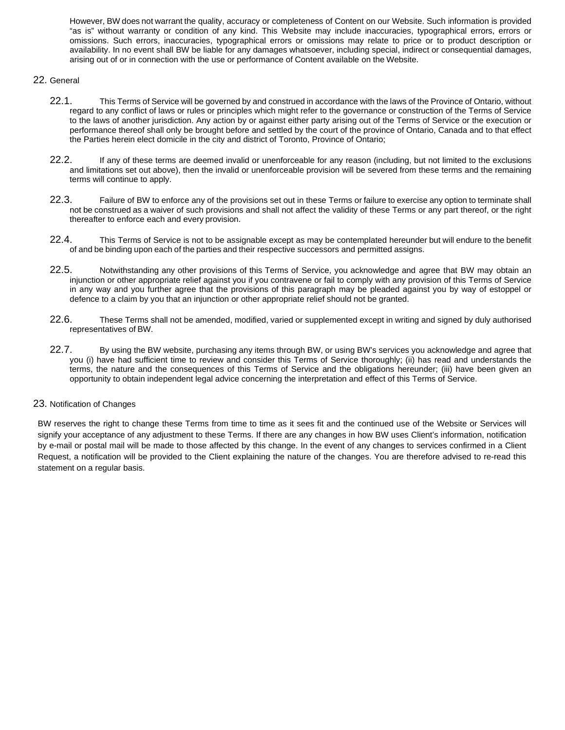However, BW does not warrant the quality, accuracy or completeness of Content on our Website. Such information is provided "as is" without warranty or condition of any kind. This Website may include inaccuracies, typographical errors, errors or omissions. Such errors, inaccuracies, typographical errors or omissions may relate to price or to product description or availability. In no event shall BW be liable for any damages whatsoever, including special, indirect or consequential damages, arising out of or in connection with the use or performance of Content available on the Website.

## 22. General

- 22.1. This Terms of Service will be governed by and construed in accordance with the laws of the Province of Ontario, without regard to any conflict of laws or rules or principles which might refer to the governance or construction of the Terms of Service to the laws of another jurisdiction. Any action by or against either party arising out of the Terms of Service or the execution or performance thereof shall only be brought before and settled by the court of the province of Ontario, Canada and to that effect the Parties herein elect domicile in the city and district of Toronto, Province of Ontario;
- 22.2. If any of these terms are deemed invalid or unenforceable for any reason (including, but not limited to the exclusions and limitations set out above), then the invalid or unenforceable provision will be severed from these terms and the remaining terms will continue to apply.
- 22.3. Failure of BW to enforce any of the provisions set out in these Terms or failure to exercise any option to terminate shall not be construed as a waiver of such provisions and shall not affect the validity of these Terms or any part thereof, or the right thereafter to enforce each and every provision.
- 22.4. This Terms of Service is not to be assignable except as may be contemplated hereunder but will endure to the benefit of and be binding upon each of the parties and their respective successors and permitted assigns.
- 22.5. Notwithstanding any other provisions of this Terms of Service, you acknowledge and agree that BW may obtain an injunction or other appropriate relief against you if you contravene or fail to comply with any provision of this Terms of Service in any way and you further agree that the provisions of this paragraph may be pleaded against you by way of estoppel or defence to a claim by you that an injunction or other appropriate relief should not be granted.
- 22.6. These Terms shall not be amended, modified, varied or supplemented except in writing and signed by duly authorised representatives of BW.
- 22.7. By using the BW website, purchasing any items through BW, or using BW's services you acknowledge and agree that you (i) have had sufficient time to review and consider this Terms of Service thoroughly; (ii) has read and understands the terms, the nature and the consequences of this Terms of Service and the obligations hereunder; (iii) have been given an opportunity to obtain independent legal advice concerning the interpretation and effect of this Terms of Service.

#### 23. Notification of Changes

BW reserves the right to change these Terms from time to time as it sees fit and the continued use of the Website or Services will signify your acceptance of any adjustment to these Terms. If there are any changes in how BW uses Client's information, notification by e-mail or postal mail will be made to those affected by this change. In the event of any changes to services confirmed in a Client Request, a notification will be provided to the Client explaining the nature of the changes. You are therefore advised to re-read this statement on a regular basis.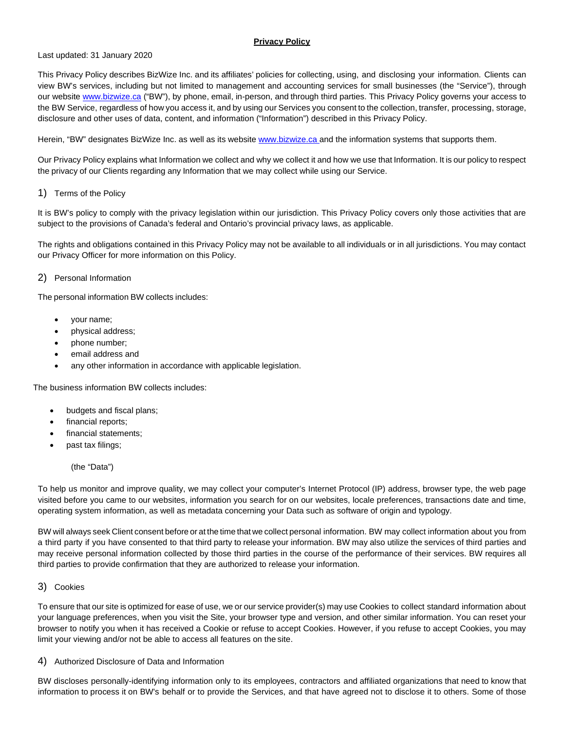### **Privacy Policy**

#### Last updated: 31 January 2020

This Privacy Policy describes BizWize Inc. and its affiliates' policies for collecting, using, and disclosing your information. Clients can view BW's services, including but not limited to management and accounting services for small businesses (the "Service"), through our website [www.bizwize.ca](http://www.bizwize.ca/) ("BW"), by phone, email, in-person, and through third parties. This Privacy Policy governs your access to the BW Service, regardless of how you access it, and by using our Services you consent to the collection, transfer, processing, storage, disclosure and other uses of data, content, and information ("Information") described in this Privacy Policy.

Herein, "BW" designates BizWize Inc. as well as its website www.bizwize.ca and the information systems that supports them.

Our Privacy Policy explains what Information we collect and why we collect it and how we use that Information. It is our policy to respect the privacy of our Clients regarding any Information that we may collect while using our Service.

#### 1) Terms of the Policy

It is BW's policy to comply with the privacy legislation within our jurisdiction. This Privacy Policy covers only those activities that are subject to the provisions of Canada's federal and Ontario's provincial privacy laws, as applicable.

The rights and obligations contained in this Privacy Policy may not be available to all individuals or in all jurisdictions. You may contact our Privacy Officer for more information on this Policy.

#### 2) Personal Information

The personal information BW collects includes:

- your name;
- physical address;
- phone number;
- email address and
- any other information in accordance with applicable legislation.

The business information BW collects includes:

- budgets and fiscal plans;
- financial reports;
- financial statements:
- past tax filings;

(the "Data")

To help us monitor and improve quality, we may collect your computer's Internet Protocol (IP) address, browser type, the web page visited before you came to our websites, information you search for on our websites, locale preferences, transactions date and time, operating system information, as well as metadata concerning your Data such as software of origin and typology.

BW will always seek Client consent before or at the time that we collect personal information. BW may collect information about you from a third party if you have consented to that third party to release your information. BW may also utilize the services of third parties and may receive personal information collected by those third parties in the course of the performance of their services. BW requires all third parties to provide confirmation that they are authorized to release your information.

#### 3) Cookies

To ensure that our site is optimized for ease of use, we or our service provider(s) may use Cookies to collect standard information about your language preferences, when you visit the Site, your browser type and version, and other similar information. You can reset your browser to notify you when it has received a Cookie or refuse to accept Cookies. However, if you refuse to accept Cookies, you may limit your viewing and/or not be able to access all features on the site.

4) Authorized Disclosure of Data and Information

BW discloses personally-identifying information only to its employees, contractors and affiliated organizations that need to know that information to process it on BW's behalf or to provide the Services, and that have agreed not to disclose it to others. Some of those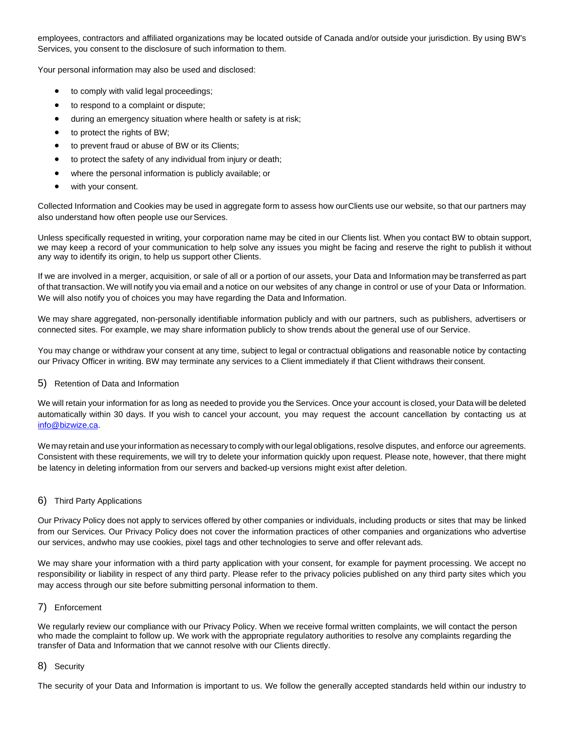employees, contractors and affiliated organizations may be located outside of Canada and/or outside your jurisdiction. By using BW's Services, you consent to the disclosure of such information to them.

Your personal information may also be used and disclosed:

- to comply with valid legal proceedings;
- to respond to a complaint or dispute;
- during an emergency situation where health or safety is at risk;
- to protect the rights of BW;
- to prevent fraud or abuse of BW or its Clients;
- to protect the safety of any individual from injury or death;
- where the personal information is publicly available; or
- with your consent.

Collected Information and Cookies may be used in aggregate form to assess how ourClients use our website, so that our partners may also understand how often people use our Services.

Unless specifically requested in writing, your corporation name may be cited in our Clients list. When you contact BW to obtain support, we may keep a record of your communication to help solve any issues you might be facing and reserve the right to publish it without any way to identify its origin, to help us support other Clients.

If we are involved in a merger, acquisition, or sale of all or a portion of our assets, your Data and Information may be transferred as part of that transaction. We will notify you via email and a notice on our websites of any change in control or use of your Data or Information. We will also notify you of choices you may have regarding the Data and Information.

We may share aggregated, non-personally identifiable information publicly and with our partners, such as publishers, advertisers or connected sites. For example, we may share information publicly to show trends about the general use of our Service.

You may change or withdraw your consent at any time, subject to legal or contractual obligations and reasonable notice by contacting our Privacy Officer in writing. BW may terminate any services to a Client immediately if that Client withdraws their consent.

#### 5) Retention of Data and Information

We will retain your information for as long as needed to provide you the Services. Once your account is closed, your Data will be deleted automatically within 30 days. If you wish to cancel your account, you may request the account cancellation by contacting us at [info@bizwize.ca.](mailto:info@bizwize.ca)

We may retain and use your information as necessary to comply with our legal obligations, resolve disputes, and enforce our agreements. Consistent with these requirements, we will try to delete your information quickly upon request. Please note, however, that there might be latency in deleting information from our servers and backed-up versions might exist after deletion.

#### 6) Third Party Applications

Our Privacy Policy does not apply to services offered by other companies or individuals, including products or sites that may be linked from our Services. Our Privacy Policy does not cover the information practices of other companies and organizations who advertise our services, andwho may use cookies, pixel tags and other technologies to serve and offer relevant ads.

We may share your information with a third party application with your consent, for example for payment processing. We accept no responsibility or liability in respect of any third party. Please refer to the privacy policies published on any third party sites which you may access through our site before submitting personal information to them.

#### 7) Enforcement

We regularly review our compliance with our Privacy Policy. When we receive formal written complaints, we will contact the person who made the complaint to follow up. We work with the appropriate regulatory authorities to resolve any complaints regarding the transfer of Data and Information that we cannot resolve with our Clients directly.

#### 8) Security

The security of your Data and Information is important to us. We follow the generally accepted standards held within our industry to